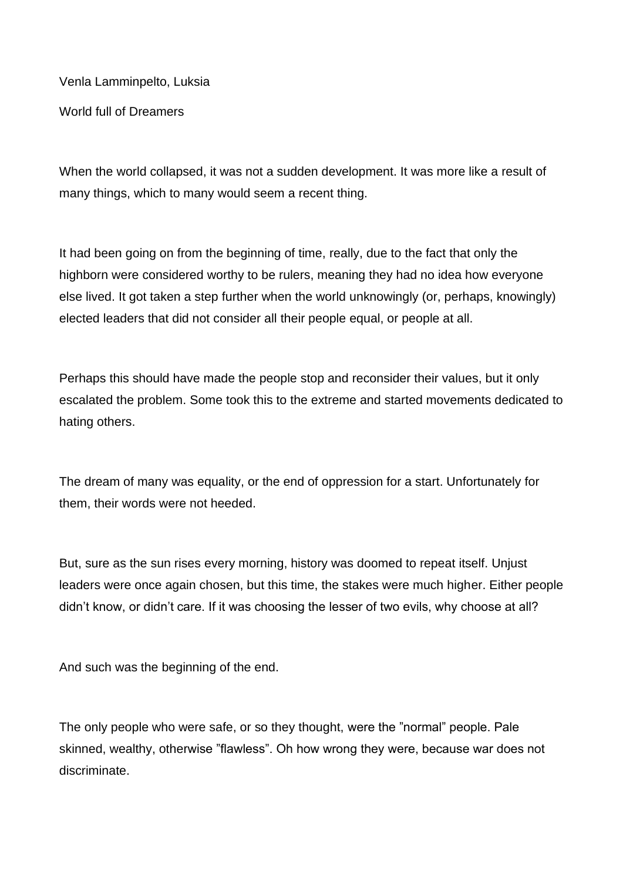Venla Lamminpelto, Luksia

World full of Dreamers

When the world collapsed, it was not a sudden development. It was more like a result of many things, which to many would seem a recent thing.

It had been going on from the beginning of time, really, due to the fact that only the highborn were considered worthy to be rulers, meaning they had no idea how everyone else lived. It got taken a step further when the world unknowingly (or, perhaps, knowingly) elected leaders that did not consider all their people equal, or people at all.

Perhaps this should have made the people stop and reconsider their values, but it only escalated the problem. Some took this to the extreme and started movements dedicated to hating others.

The dream of many was equality, or the end of oppression for a start. Unfortunately for them, their words were not heeded.

But, sure as the sun rises every morning, history was doomed to repeat itself. Unjust leaders were once again chosen, but this time, the stakes were much higher. Either people didn't know, or didn't care. If it was choosing the lesser of two evils, why choose at all?

And such was the beginning of the end.

The only people who were safe, or so they thought, were the "normal" people. Pale skinned, wealthy, otherwise "flawless". Oh how wrong they were, because war does not discriminate.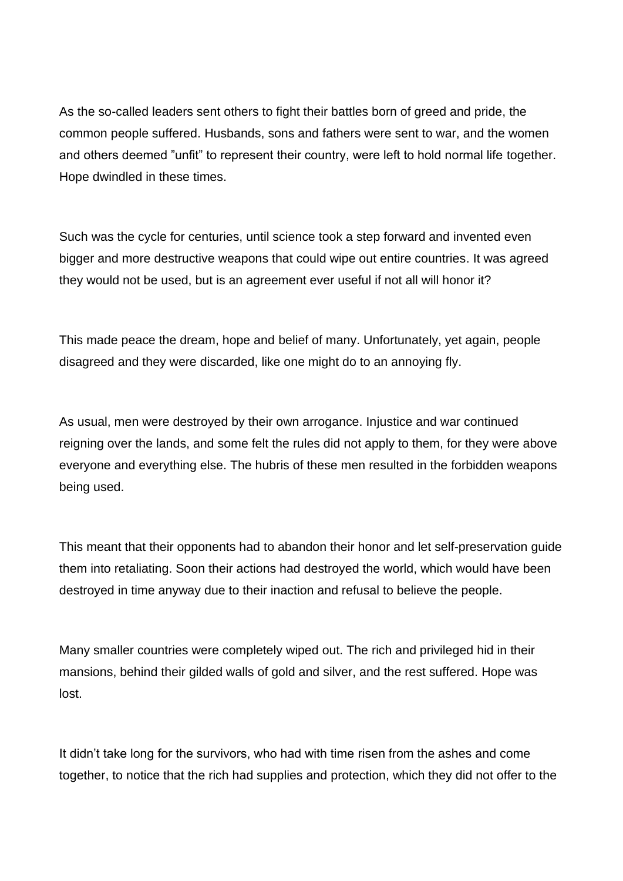As the so-called leaders sent others to fight their battles born of greed and pride, the common people suffered. Husbands, sons and fathers were sent to war, and the women and others deemed "unfit" to represent their country, were left to hold normal life together. Hope dwindled in these times.

Such was the cycle for centuries, until science took a step forward and invented even bigger and more destructive weapons that could wipe out entire countries. It was agreed they would not be used, but is an agreement ever useful if not all will honor it?

This made peace the dream, hope and belief of many. Unfortunately, yet again, people disagreed and they were discarded, like one might do to an annoying fly.

As usual, men were destroyed by their own arrogance. Injustice and war continued reigning over the lands, and some felt the rules did not apply to them, for they were above everyone and everything else. The hubris of these men resulted in the forbidden weapons being used.

This meant that their opponents had to abandon their honor and let self-preservation guide them into retaliating. Soon their actions had destroyed the world, which would have been destroyed in time anyway due to their inaction and refusal to believe the people.

Many smaller countries were completely wiped out. The rich and privileged hid in their mansions, behind their gilded walls of gold and silver, and the rest suffered. Hope was lost.

It didn't take long for the survivors, who had with time risen from the ashes and come together, to notice that the rich had supplies and protection, which they did not offer to the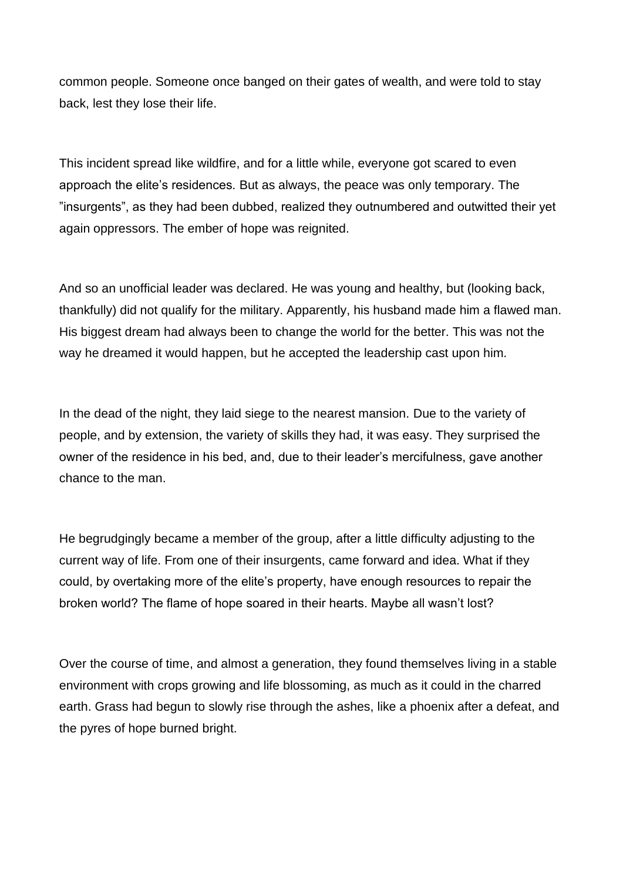common people. Someone once banged on their gates of wealth, and were told to stay back, lest they lose their life.

This incident spread like wildfire, and for a little while, everyone got scared to even approach the elite's residences. But as always, the peace was only temporary. The "insurgents", as they had been dubbed, realized they outnumbered and outwitted their yet again oppressors. The ember of hope was reignited.

And so an unofficial leader was declared. He was young and healthy, but (looking back, thankfully) did not qualify for the military. Apparently, his husband made him a flawed man. His biggest dream had always been to change the world for the better. This was not the way he dreamed it would happen, but he accepted the leadership cast upon him.

In the dead of the night, they laid siege to the nearest mansion. Due to the variety of people, and by extension, the variety of skills they had, it was easy. They surprised the owner of the residence in his bed, and, due to their leader's mercifulness, gave another chance to the man.

He begrudgingly became a member of the group, after a little difficulty adjusting to the current way of life. From one of their insurgents, came forward and idea. What if they could, by overtaking more of the elite's property, have enough resources to repair the broken world? The flame of hope soared in their hearts. Maybe all wasn't lost?

Over the course of time, and almost a generation, they found themselves living in a stable environment with crops growing and life blossoming, as much as it could in the charred earth. Grass had begun to slowly rise through the ashes, like a phoenix after a defeat, and the pyres of hope burned bright.